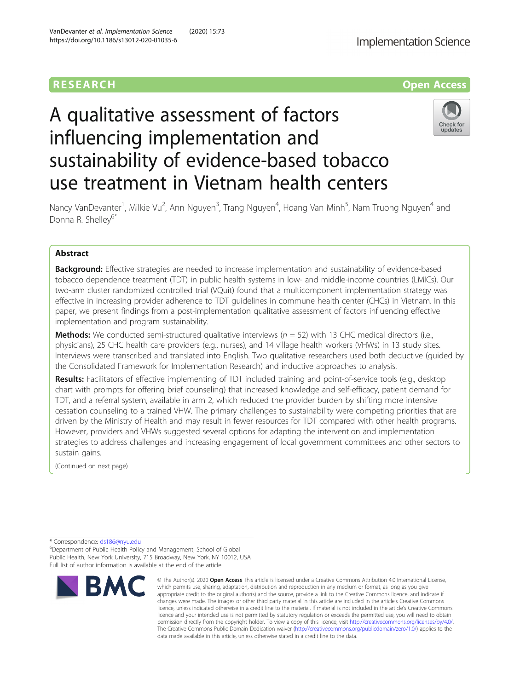

# A qualitative assessment of factors influencing implementation and sustainability of evidence-based tobacco use treatment in Vietnam health centers



Nancy VanDevanter<sup>1</sup>, Milkie Vu<sup>2</sup>, Ann Nguyen<sup>3</sup>, Trang Nguyen<sup>4</sup>, Hoang Van Minh<sup>5</sup>, Nam Truong Nguyen<sup>4</sup> and Donna R. Shelley<sup>6\*</sup>

# Abstract

**Background:** Effective strategies are needed to increase implementation and sustainability of evidence-based tobacco dependence treatment (TDT) in public health systems in low- and middle-income countries (LMICs). Our two-arm cluster randomized controlled trial (VQuit) found that a multicomponent implementation strategy was effective in increasing provider adherence to TDT guidelines in commune health center (CHCs) in Vietnam. In this paper, we present findings from a post-implementation qualitative assessment of factors influencing effective implementation and program sustainability.

**Methods:** We conducted semi-structured qualitative interviews ( $n = 52$ ) with 13 CHC medical directors (i.e., physicians), 25 CHC health care providers (e.g., nurses), and 14 village health workers (VHWs) in 13 study sites. Interviews were transcribed and translated into English. Two qualitative researchers used both deductive (guided by the Consolidated Framework for Implementation Research) and inductive approaches to analysis.

Results: Facilitators of effective implementing of TDT included training and point-of-service tools (e.g., desktop chart with prompts for offering brief counseling) that increased knowledge and self-efficacy, patient demand for TDT, and a referral system, available in arm 2, which reduced the provider burden by shifting more intensive cessation counseling to a trained VHW. The primary challenges to sustainability were competing priorities that are driven by the Ministry of Health and may result in fewer resources for TDT compared with other health programs. However, providers and VHWs suggested several options for adapting the intervention and implementation strategies to address challenges and increasing engagement of local government committees and other sectors to sustain gains.

(Continued on next page)

\* Correspondence: [ds186@nyu.edu](mailto:ds186@nyu.edu) <sup>6</sup>

Department of Public Health Policy and Management, School of Global Public Health, New York University, 715 Broadway, New York, NY 10012, USA Full list of author information is available at the end of the article



<sup>©</sup> The Author(s), 2020 **Open Access** This article is licensed under a Creative Commons Attribution 4.0 International License, which permits use, sharing, adaptation, distribution and reproduction in any medium or format, as long as you give appropriate credit to the original author(s) and the source, provide a link to the Creative Commons licence, and indicate if changes were made. The images or other third party material in this article are included in the article's Creative Commons licence, unless indicated otherwise in a credit line to the material. If material is not included in the article's Creative Commons licence and your intended use is not permitted by statutory regulation or exceeds the permitted use, you will need to obtain permission directly from the copyright holder. To view a copy of this licence, visit [http://creativecommons.org/licenses/by/4.0/.](http://creativecommons.org/licenses/by/4.0/) The Creative Commons Public Domain Dedication waiver [\(http://creativecommons.org/publicdomain/zero/1.0/](http://creativecommons.org/publicdomain/zero/1.0/)) applies to the data made available in this article, unless otherwise stated in a credit line to the data.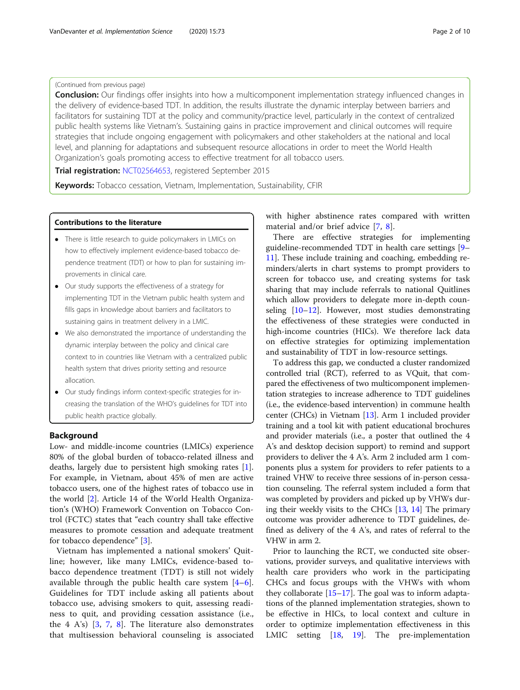# (Continued from previous page)

**Conclusion:** Our findings offer insights into how a multicomponent implementation strategy influenced changes in the delivery of evidence-based TDT. In addition, the results illustrate the dynamic interplay between barriers and facilitators for sustaining TDT at the policy and community/practice level, particularly in the context of centralized public health systems like Vietnam's. Sustaining gains in practice improvement and clinical outcomes will require strategies that include ongoing engagement with policymakers and other stakeholders at the national and local level, and planning for adaptations and subsequent resource allocations in order to meet the World Health Organization's goals promoting access to effective treatment for all tobacco users.

Trial registration: [NCT02564653](https://clinicaltrials.gov/ct2/show/NCT02564653), registered September 2015

Keywords: Tobacco cessation, Vietnam, Implementation, Sustainability, CFIR

# Contributions to the literature

- There is little research to guide policymakers in LMICs on how to effectively implement evidence-based tobacco dependence treatment (TDT) or how to plan for sustaining improvements in clinical care.
- Our study supports the effectiveness of a strategy for implementing TDT in the Vietnam public health system and fills gaps in knowledge about barriers and facilitators to sustaining gains in treatment delivery in a LMIC.
- We also demonstrated the importance of understanding the dynamic interplay between the policy and clinical care context to in countries like Vietnam with a centralized public health system that drives priority setting and resource allocation.
- Our study findings inform context-specific strategies for increasing the translation of the WHO's guidelines for TDT into public health practice globally.

# Background

Low- and middle-income countries (LMICs) experience 80% of the global burden of tobacco-related illness and deaths, largely due to persistent high smoking rates [\[1](#page-8-0)]. For example, in Vietnam, about 45% of men are active tobacco users, one of the highest rates of tobacco use in the world [\[2](#page-8-0)]. Article 14 of the World Health Organization's (WHO) Framework Convention on Tobacco Control (FCTC) states that "each country shall take effective measures to promote cessation and adequate treatment for tobacco dependence" [\[3](#page-8-0)].

Vietnam has implemented a national smokers' Quitline; however, like many LMICs, evidence-based tobacco dependence treatment (TDT) is still not widely available through the public health care system [\[4](#page-8-0)–[6](#page-8-0)]. Guidelines for TDT include asking all patients about tobacco use, advising smokers to quit, assessing readiness to quit, and providing cessation assistance (i.e., the 4 A's) [[3](#page-8-0), [7](#page-8-0), [8](#page-8-0)]. The literature also demonstrates that multisession behavioral counseling is associated

with higher abstinence rates compared with written material and/or brief advice [[7,](#page-8-0) [8\]](#page-8-0).

There are effective strategies for implementing guideline-recommended TDT in health care settings [[9](#page-8-0)– [11\]](#page-8-0). These include training and coaching, embedding reminders/alerts in chart systems to prompt providers to screen for tobacco use, and creating systems for task sharing that may include referrals to national Quitlines which allow providers to delegate more in-depth counseling [\[10](#page-8-0)–[12\]](#page-8-0). However, most studies demonstrating the effectiveness of these strategies were conducted in high-income countries (HICs). We therefore lack data on effective strategies for optimizing implementation and sustainability of TDT in low-resource settings.

To address this gap, we conducted a cluster randomized controlled trial (RCT), referred to as VQuit, that compared the effectiveness of two multicomponent implementation strategies to increase adherence to TDT guidelines (i.e., the evidence-based intervention) in commune health center (CHCs) in Vietnam [[13](#page-8-0)]. Arm 1 included provider training and a tool kit with patient educational brochures and provider materials (i.e., a poster that outlined the 4 A's and desktop decision support) to remind and support providers to deliver the 4 A's. Arm 2 included arm 1 components plus a system for providers to refer patients to a trained VHW to receive three sessions of in-person cessation counseling. The referral system included a form that was completed by providers and picked up by VHWs during their weekly visits to the CHCs [[13](#page-8-0), [14\]](#page-8-0) The primary outcome was provider adherence to TDT guidelines, defined as delivery of the 4 A's, and rates of referral to the VHW in arm 2.

Prior to launching the RCT, we conducted site observations, provider surveys, and qualitative interviews with health care providers who work in the participating CHCs and focus groups with the VHWs with whom they collaborate [[15](#page-8-0)–[17](#page-8-0)]. The goal was to inform adaptations of the planned implementation strategies, shown to be effective in HICs, to local context and culture in order to optimize implementation effectiveness in this LMIC setting [\[18](#page-8-0), [19\]](#page-8-0). The pre-implementation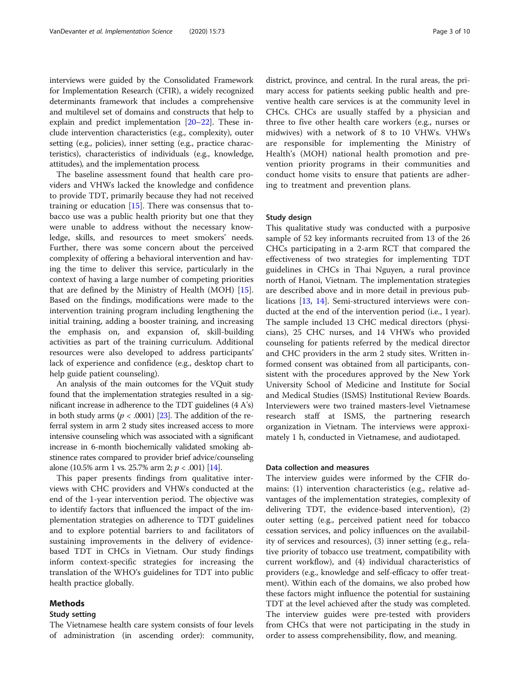interviews were guided by the Consolidated Framework for Implementation Research (CFIR), a widely recognized determinants framework that includes a comprehensive and multilevel set of domains and constructs that help to explain and predict implementation [[20](#page-8-0)–[22\]](#page-8-0). These include intervention characteristics (e.g., complexity), outer setting (e.g., policies), inner setting (e.g., practice characteristics), characteristics of individuals (e.g., knowledge, attitudes), and the implementation process.

The baseline assessment found that health care providers and VHWs lacked the knowledge and confidence to provide TDT, primarily because they had not received training or education [\[15](#page-8-0)]. There was consensus that tobacco use was a public health priority but one that they were unable to address without the necessary knowledge, skills, and resources to meet smokers' needs. Further, there was some concern about the perceived complexity of offering a behavioral intervention and having the time to deliver this service, particularly in the context of having a large number of competing priorities that are defined by the Ministry of Health (MOH) [\[15](#page-8-0)]. Based on the findings, modifications were made to the intervention training program including lengthening the initial training, adding a booster training, and increasing the emphasis on, and expansion of, skill-building activities as part of the training curriculum. Additional resources were also developed to address participants' lack of experience and confidence (e.g., desktop chart to help guide patient counseling).

An analysis of the main outcomes for the VQuit study found that the implementation strategies resulted in a significant increase in adherence to the TDT guidelines (4 A's) in both study arms ( $p < .0001$ ) [[23](#page-9-0)]. The addition of the referral system in arm 2 study sites increased access to more intensive counseling which was associated with a significant increase in 6-month biochemically validated smoking abstinence rates compared to provider brief advice/counseling alone (10.5% arm 1 vs. 25.7% arm 2;  $p < .001$ ) [\[14](#page-8-0)].

This paper presents findings from qualitative interviews with CHC providers and VHWs conducted at the end of the 1-year intervention period. The objective was to identify factors that influenced the impact of the implementation strategies on adherence to TDT guidelines and to explore potential barriers to and facilitators of sustaining improvements in the delivery of evidencebased TDT in CHCs in Vietnam. Our study findings inform context-specific strategies for increasing the translation of the WHO's guidelines for TDT into public health practice globally.

# Methods

# Study setting

The Vietnamese health care system consists of four levels of administration (in ascending order): community, district, province, and central. In the rural areas, the primary access for patients seeking public health and preventive health care services is at the community level in CHCs. CHCs are usually staffed by a physician and three to five other health care workers (e.g., nurses or midwives) with a network of 8 to 10 VHWs. VHWs are responsible for implementing the Ministry of Health's (MOH) national health promotion and prevention priority programs in their communities and conduct home visits to ensure that patients are adhering to treatment and prevention plans.

# Study design

This qualitative study was conducted with a purposive sample of 52 key informants recruited from 13 of the 26 CHCs participating in a 2-arm RCT that compared the effectiveness of two strategies for implementing TDT guidelines in CHCs in Thai Nguyen, a rural province north of Hanoi, Vietnam. The implementation strategies are described above and in more detail in previous publications [[13,](#page-8-0) [14\]](#page-8-0). Semi-structured interviews were conducted at the end of the intervention period (i.e., 1 year). The sample included 13 CHC medical directors (physicians), 25 CHC nurses, and 14 VHWs who provided counseling for patients referred by the medical director and CHC providers in the arm 2 study sites. Written informed consent was obtained from all participants, consistent with the procedures approved by the New York University School of Medicine and Institute for Social and Medical Studies (ISMS) Institutional Review Boards. Interviewers were two trained masters-level Vietnamese research staff at ISMS, the partnering research organization in Vietnam. The interviews were approximately 1 h, conducted in Vietnamese, and audiotaped.

# Data collection and measures

The interview guides were informed by the CFIR domains: (1) intervention characteristics (e.g., relative advantages of the implementation strategies, complexity of delivering TDT, the evidence-based intervention), (2) outer setting (e.g., perceived patient need for tobacco cessation services, and policy influences on the availability of services and resources), (3) inner setting (e.g., relative priority of tobacco use treatment, compatibility with current workflow), and (4) individual characteristics of providers (e.g., knowledge and self-efficacy to offer treatment). Within each of the domains, we also probed how these factors might influence the potential for sustaining TDT at the level achieved after the study was completed. The interview guides were pre-tested with providers from CHCs that were not participating in the study in order to assess comprehensibility, flow, and meaning.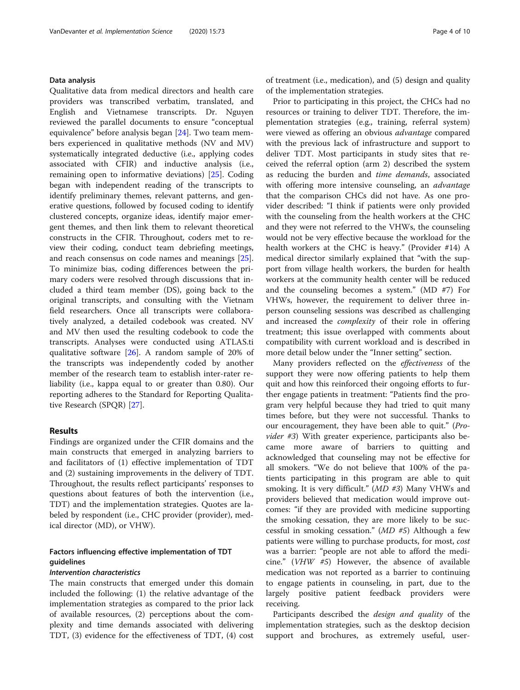# Data analysis

Qualitative data from medical directors and health care providers was transcribed verbatim, translated, and English and Vietnamese transcripts. Dr. Nguyen reviewed the parallel documents to ensure "conceptual equivalence" before analysis began [[24](#page-9-0)]. Two team members experienced in qualitative methods (NV and MV) systematically integrated deductive (i.e., applying codes associated with CFIR) and inductive analysis (i.e., remaining open to informative deviations) [[25](#page-9-0)]. Coding began with independent reading of the transcripts to identify preliminary themes, relevant patterns, and generative questions, followed by focused coding to identify clustered concepts, organize ideas, identify major emergent themes, and then link them to relevant theoretical constructs in the CFIR. Throughout, coders met to review their coding, conduct team debriefing meetings, and reach consensus on code names and meanings [\[25](#page-9-0)]. To minimize bias, coding differences between the primary coders were resolved through discussions that included a third team member (DS), going back to the original transcripts, and consulting with the Vietnam field researchers. Once all transcripts were collaboratively analyzed, a detailed codebook was created. NV and MV then used the resulting codebook to code the transcripts. Analyses were conducted using ATLAS.ti qualitative software [\[26\]](#page-9-0). A random sample of 20% of the transcripts was independently coded by another member of the research team to establish inter-rater reliability (i.e., kappa equal to or greater than 0.80). Our reporting adheres to the Standard for Reporting Qualitative Research (SPQR) [\[27](#page-9-0)].

# Results

Findings are organized under the CFIR domains and the main constructs that emerged in analyzing barriers to and facilitators of (1) effective implementation of TDT and (2) sustaining improvements in the delivery of TDT. Throughout, the results reflect participants' responses to questions about features of both the intervention (i.e., TDT) and the implementation strategies. Quotes are labeled by respondent (i.e., CHC provider (provider), medical director (MD), or VHW).

# Factors influencing effective implementation of TDT guidelines

#### Intervention characteristics

The main constructs that emerged under this domain included the following: (1) the relative advantage of the implementation strategies as compared to the prior lack of available resources, (2) perceptions about the complexity and time demands associated with delivering TDT, (3) evidence for the effectiveness of TDT, (4) cost

of treatment (i.e., medication), and (5) design and quality of the implementation strategies.

Prior to participating in this project, the CHCs had no resources or training to deliver TDT. Therefore, the implementation strategies (e.g., training, referral system) were viewed as offering an obvious advantage compared with the previous lack of infrastructure and support to deliver TDT. Most participants in study sites that received the referral option (arm 2) described the system as reducing the burden and time demands, associated with offering more intensive counseling, an *advantage* that the comparison CHCs did not have. As one provider described: "I think if patients were only provided with the counseling from the health workers at the CHC and they were not referred to the VHWs, the counseling would not be very effective because the workload for the health workers at the CHC is heavy." (Provider #14) A medical director similarly explained that "with the support from village health workers, the burden for health workers at the community health center will be reduced and the counseling becomes a system." (MD #7) For VHWs, however, the requirement to deliver three inperson counseling sessions was described as challenging and increased the *complexity* of their role in offering treatment; this issue overlapped with comments about compatibility with current workload and is described in more detail below under the "Inner setting" section.

Many providers reflected on the effectiveness of the support they were now offering patients to help them quit and how this reinforced their ongoing efforts to further engage patients in treatment: "Patients find the program very helpful because they had tried to quit many times before, but they were not successful. Thanks to our encouragement, they have been able to quit." (Provider #3) With greater experience, participants also became more aware of barriers to quitting and acknowledged that counseling may not be effective for all smokers. "We do not believe that 100% of the patients participating in this program are able to quit smoking. It is very difficult." (MD #3) Many VHWs and providers believed that medication would improve outcomes: "if they are provided with medicine supporting the smoking cessation, they are more likely to be successful in smoking cessation." (MD #5) Although a few patients were willing to purchase products, for most, cost was a barrier: "people are not able to afford the medicine." (VHW #5) However, the absence of available medication was not reported as a barrier to continuing to engage patients in counseling, in part, due to the largely positive patient feedback providers were receiving.

Participants described the design and quality of the implementation strategies, such as the desktop decision support and brochures, as extremely useful, user-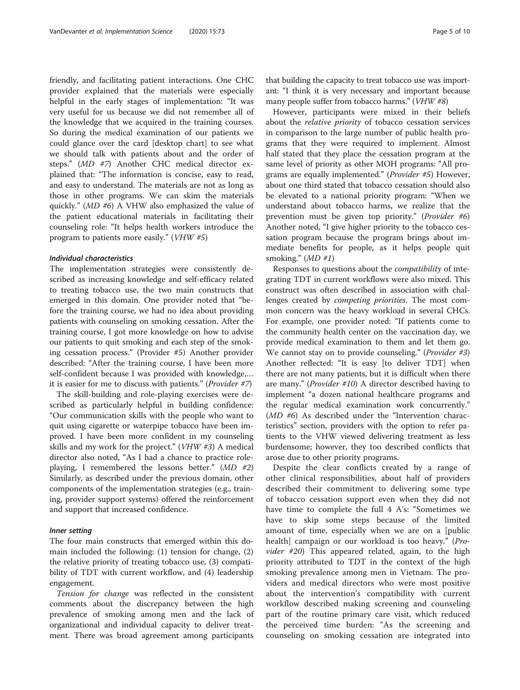friendly, and facilitating patient interactions. One CHC provider explained that the materials were especially helpful in the early stages of implementation: "It was very useful for us because we did not remember all of the knowledge that we acquired in the training courses. So during the medical examination of our patients we could glance over the card [desktop chart] to see what we should talk with patients about and the order of steps." (MD #7) Another CHC medical director explained that: "The information is concise, easy to read, and easy to understand. The materials are not as long as those in other programs. We can skim the materials quickly." (MD #6) A VHW also emphasized the value of the patient educational materials in facilitating their counseling role: "It helps health workers introduce the program to patients more easily." (VHW #5)

#### Individual characteristics

The implementation strategies were consistently described as increasing knowledge and self-efficacy related to treating tobacco use, the two main constructs that emerged in this domain. One provider noted that "before the training course, we had no idea about providing patients with counseling on smoking cessation. After the training course, I got more knowledge on how to advise our patients to quit smoking and each step of the smoking cessation process." (Provider #5) Another provider described: "After the training course, I have been more self-confident because I was provided with knowledge,… it is easier for me to discuss with patients." (Provider #7)

The skill-building and role-playing exercises were described as particularly helpful in building confidence: "Our communication skills with the people who want to quit using cigarette or waterpipe tobacco have been improved. I have been more confident in my counseling skills and my work for the project." (VHW #3) A medical director also noted, "As I had a chance to practice roleplaying, I remembered the lessons better." (MD #2) Similarly, as described under the previous domain, other components of the implementation strategies (e.g., training, provider support systems) offered the reinforcement and support that increased confidence.

#### Inner setting

The four main constructs that emerged within this domain included the following: (1) tension for change, (2) the relative priority of treating tobacco use, (3) compatibility of TDT with current workflow, and (4) leadership engagement.

Tension for change was reflected in the consistent comments about the discrepancy between the high prevalence of smoking among men and the lack of organizational and individual capacity to deliver treatment. There was broad agreement among participants

that building the capacity to treat tobacco use was important: "I think it is very necessary and important because many people suffer from tobacco harms." (VHW #8)

However, participants were mixed in their beliefs about the relative priority of tobacco cessation services in comparison to the large number of public health programs that they were required to implement. Almost half stated that they place the cessation program at the same level of priority as other MOH programs: "All programs are equally implemented." (Provider #5) However, about one third stated that tobacco cessation should also be elevated to a national priority program: "When we understand about tobacco harms, we realize that the prevention must be given top priority." (Provider #6) Another noted, "I give higher priority to the tobacco cessation program because the program brings about immediate benefits for people, as it helps people quit smoking."  $(MD \#1)$ 

Responses to questions about the compatibility of integrating TDT in current workflows were also mixed. This construct was often described in association with challenges created by competing priorities. The most common concern was the heavy workload in several CHCs. For example, one provider noted: "If patients come to the community health center on the vaccination day, we provide medical examination to them and let them go. We cannot stay on to provide counseling." (Provider #3) Another reflected: "It is easy [to deliver TDT] when there are not many patients, but it is difficult when there are many." (Provider #10) A director described having to implement "a dozen national healthcare programs and the regular medical examination work concurrently." (MD #6) As described under the "Intervention characteristics" section, providers with the option to refer patients to the VHW viewed delivering treatment as less burdensome; however, they too described conflicts that arose due to other priority programs.

Despite the clear conflicts created by a range of other clinical responsibilities, about half of providers described their commitment to delivering some type of tobacco cessation support even when they did not have time to complete the full 4 A's: "Sometimes we have to skip some steps because of the limited amount of time, especially when we are on a [public health] campaign or our workload is too heavy." (Provider #20) This appeared related, again, to the high priority attributed to TDT in the context of the high smoking prevalence among men in Vietnam. The providers and medical directors who were most positive about the intervention's compatibility with current workflow described making screening and counseling part of the routine primary care visit, which reduced the perceived time burden: "As the screening and counseling on smoking cessation are integrated into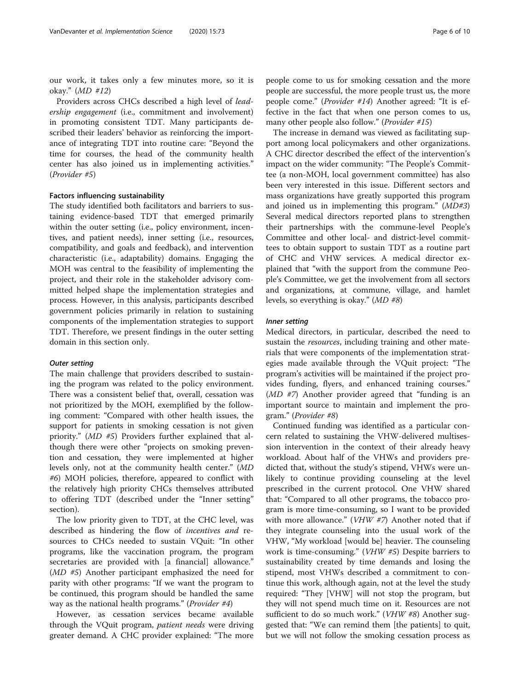our work, it takes only a few minutes more, so it is okay." (MD #12)

Providers across CHCs described a high level of leadership engagement (i.e., commitment and involvement) in promoting consistent TDT. Many participants described their leaders' behavior as reinforcing the importance of integrating TDT into routine care: "Beyond the time for courses, the head of the community health center has also joined us in implementing activities." (Provider #5)

#### Factors influencing sustainability

The study identified both facilitators and barriers to sustaining evidence-based TDT that emerged primarily within the outer setting (i.e., policy environment, incentives, and patient needs), inner setting (i.e., resources, compatibility, and goals and feedback), and intervention characteristic (i.e., adaptability) domains. Engaging the MOH was central to the feasibility of implementing the project, and their role in the stakeholder advisory committed helped shape the implementation strategies and process. However, in this analysis, participants described government policies primarily in relation to sustaining components of the implementation strategies to support TDT. Therefore, we present findings in the outer setting domain in this section only.

#### Outer setting

The main challenge that providers described to sustaining the program was related to the policy environment. There was a consistent belief that, overall, cessation was not prioritized by the MOH, exemplified by the following comment: "Compared with other health issues, the support for patients in smoking cessation is not given priority." (MD #5) Providers further explained that although there were other "projects on smoking prevention and cessation, they were implemented at higher levels only, not at the community health center." (MD #6) MOH policies, therefore, appeared to conflict with the relatively high priority CHCs themselves attributed to offering TDT (described under the "Inner setting" section).

The low priority given to TDT, at the CHC level, was described as hindering the flow of incentives and resources to CHCs needed to sustain VQuit: "In other programs, like the vaccination program, the program secretaries are provided with [a financial] allowance." (MD #5) Another participant emphasized the need for parity with other programs: "If we want the program to be continued, this program should be handled the same way as the national health programs." (*Provider* #4)

However, as cessation services became available through the VQuit program, patient needs were driving greater demand. A CHC provider explained: "The more

people come to us for smoking cessation and the more people are successful, the more people trust us, the more people come." (Provider #14) Another agreed: "It is effective in the fact that when one person comes to us, many other people also follow." (Provider #15)

The increase in demand was viewed as facilitating support among local policymakers and other organizations. A CHC director described the effect of the intervention's impact on the wider community: "The People's Committee (a non-MOH, local government committee) has also been very interested in this issue. Different sectors and mass organizations have greatly supported this program and joined us in implementing this program."  $(MD#3)$ Several medical directors reported plans to strengthen their partnerships with the commune-level People's Committee and other local- and district-level committees to obtain support to sustain TDT as a routine part of CHC and VHW services. A medical director explained that "with the support from the commune People's Committee, we get the involvement from all sectors and organizations, at commune, village, and hamlet levels, so everything is okay." (MD #8)

#### Inner setting

Medical directors, in particular, described the need to sustain the *resources*, including training and other materials that were components of the implementation strategies made available through the VQuit project: "The program's activities will be maintained if the project provides funding, flyers, and enhanced training courses." (MD #7) Another provider agreed that "funding is an important source to maintain and implement the program." (Provider #8)

Continued funding was identified as a particular concern related to sustaining the VHW-delivered multisession intervention in the context of their already heavy workload. About half of the VHWs and providers predicted that, without the study's stipend, VHWs were unlikely to continue providing counseling at the level prescribed in the current protocol. One VHW shared that: "Compared to all other programs, the tobacco program is more time-consuming, so I want to be provided with more allowance." ( $VHW$  #7) Another noted that if they integrate counseling into the usual work of the VHW, "My workload [would be] heavier. The counseling work is time-consuming." (VHW #5) Despite barriers to sustainability created by time demands and losing the stipend, most VHWs described a commitment to continue this work, although again, not at the level the study required: "They [VHW] will not stop the program, but they will not spend much time on it. Resources are not sufficient to do so much work." (VHW #8) Another suggested that: "We can remind them [the patients] to quit, but we will not follow the smoking cessation process as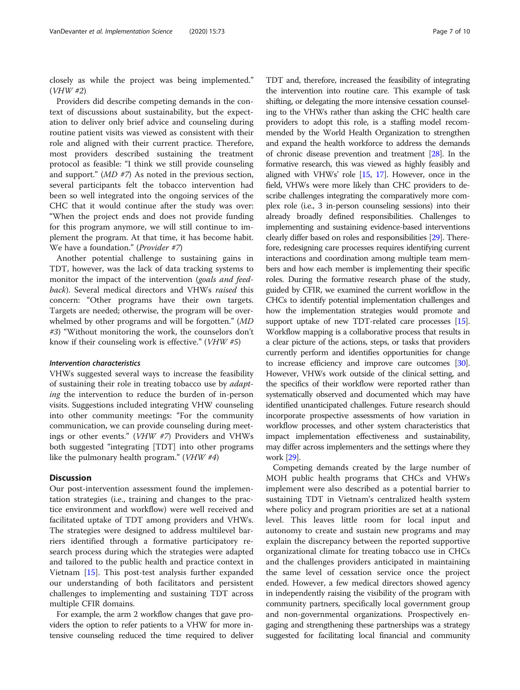closely as while the project was being implemented." (VHW #2)

Providers did describe competing demands in the context of discussions about sustainability, but the expectation to deliver only brief advice and counseling during routine patient visits was viewed as consistent with their role and aligned with their current practice. Therefore, most providers described sustaining the treatment protocol as feasible: "I think we still provide counseling and support." (MD #7) As noted in the previous section, several participants felt the tobacco intervention had been so well integrated into the ongoing services of the CHC that it would continue after the study was over: "When the project ends and does not provide funding for this program anymore, we will still continue to implement the program. At that time, it has become habit. We have a foundation." (*Provider* #7)

Another potential challenge to sustaining gains in TDT, however, was the lack of data tracking systems to monitor the impact of the intervention (goals and feedback). Several medical directors and VHWs raised this concern: "Other programs have their own targets. Targets are needed; otherwise, the program will be overwhelmed by other programs and will be forgotten." (MD #3) "Without monitoring the work, the counselors don't know if their counseling work is effective." (VHW #5)

#### Intervention characteristics

VHWs suggested several ways to increase the feasibility of sustaining their role in treating tobacco use by adapting the intervention to reduce the burden of in-person visits. Suggestions included integrating VHW counseling into other community meetings: "For the community communication, we can provide counseling during meetings or other events." (VHW #7) Providers and VHWs both suggested "integrating [TDT] into other programs like the pulmonary health program."  $(VHW \# 4)$ 

# **Discussion**

Our post-intervention assessment found the implementation strategies (i.e., training and changes to the practice environment and workflow) were well received and facilitated uptake of TDT among providers and VHWs. The strategies were designed to address multilevel barriers identified through a formative participatory research process during which the strategies were adapted and tailored to the public health and practice context in Vietnam [\[15](#page-8-0)]. This post-test analysis further expanded our understanding of both facilitators and persistent challenges to implementing and sustaining TDT across multiple CFIR domains.

For example, the arm 2 workflow changes that gave providers the option to refer patients to a VHW for more intensive counseling reduced the time required to deliver TDT and, therefore, increased the feasibility of integrating the intervention into routine care. This example of task shifting, or delegating the more intensive cessation counseling to the VHWs rather than asking the CHC health care providers to adopt this role, is a staffing model recommended by the World Health Organization to strengthen and expand the health workforce to address the demands of chronic disease prevention and treatment [\[28\]](#page-9-0). In the formative research, this was viewed as highly feasibly and aligned with VHWs' role [[15](#page-8-0), [17\]](#page-8-0). However, once in the field, VHWs were more likely than CHC providers to describe challenges integrating the comparatively more complex role (i.e., 3 in-person counseling sessions) into their already broadly defined responsibilities. Challenges to implementing and sustaining evidence-based interventions clearly differ based on roles and responsibilities [[29\]](#page-9-0). Therefore, redesigning care processes requires identifying current interactions and coordination among multiple team members and how each member is implementing their specific roles. During the formative research phase of the study, guided by CFIR, we examined the current workflow in the CHCs to identify potential implementation challenges and how the implementation strategies would promote and support uptake of new TDT-related care processes [\[15](#page-8-0)]. Workflow mapping is a collaborative process that results in a clear picture of the actions, steps, or tasks that providers currently perform and identifies opportunities for change to increase efficiency and improve care outcomes [\[30](#page-9-0)]. However, VHWs work outside of the clinical setting, and the specifics of their workflow were reported rather than systematically observed and documented which may have identified unanticipated challenges. Future research should incorporate prospective assessments of how variation in workflow processes, and other system characteristics that impact implementation effectiveness and sustainability, may differ across implementers and the settings where they work [\[29\]](#page-9-0).

Competing demands created by the large number of MOH public health programs that CHCs and VHWs implement were also described as a potential barrier to sustaining TDT in Vietnam's centralized health system where policy and program priorities are set at a national level. This leaves little room for local input and autonomy to create and sustain new programs and may explain the discrepancy between the reported supportive organizational climate for treating tobacco use in CHCs and the challenges providers anticipated in maintaining the same level of cessation service once the project ended. However, a few medical directors showed agency in independently raising the visibility of the program with community partners, specifically local government group and non-governmental organizations. Prospectively engaging and strengthening these partnerships was a strategy suggested for facilitating local financial and community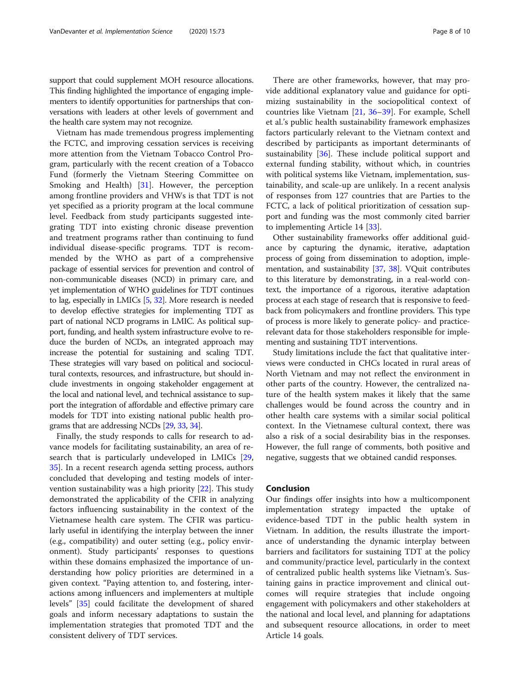support that could supplement MOH resource allocations. This finding highlighted the importance of engaging implementers to identify opportunities for partnerships that conversations with leaders at other levels of government and the health care system may not recognize.

Vietnam has made tremendous progress implementing the FCTC, and improving cessation services is receiving more attention from the Vietnam Tobacco Control Program, particularly with the recent creation of a Tobacco Fund (formerly the Vietnam Steering Committee on Smoking and Health) [[31\]](#page-9-0). However, the perception among frontline providers and VHWs is that TDT is not yet specified as a priority program at the local commune level. Feedback from study participants suggested integrating TDT into existing chronic disease prevention and treatment programs rather than continuing to fund individual disease-specific programs. TDT is recommended by the WHO as part of a comprehensive package of essential services for prevention and control of non-communicable diseases (NCD) in primary care, and yet implementation of WHO guidelines for TDT continues to lag, especially in LMICs [\[5,](#page-8-0) [32\]](#page-9-0). More research is needed to develop effective strategies for implementing TDT as part of national NCD programs in LMIC. As political support, funding, and health system infrastructure evolve to reduce the burden of NCDs, an integrated approach may increase the potential for sustaining and scaling TDT. These strategies will vary based on political and sociocultural contexts, resources, and infrastructure, but should include investments in ongoing stakeholder engagement at the local and national level, and technical assistance to support the integration of affordable and effective primary care models for TDT into existing national public health programs that are addressing NCDs [\[29,](#page-9-0) [33,](#page-9-0) [34\]](#page-9-0).

Finally, the study responds to calls for research to advance models for facilitating sustainability, an area of research that is particularly undeveloped in LMICs [[29](#page-9-0), [35\]](#page-9-0). In a recent research agenda setting process, authors concluded that developing and testing models of intervention sustainability was a high priority [\[22](#page-8-0)]. This study demonstrated the applicability of the CFIR in analyzing factors influencing sustainability in the context of the Vietnamese health care system. The CFIR was particularly useful in identifying the interplay between the inner (e.g., compatibility) and outer setting (e.g., policy environment). Study participants' responses to questions within these domains emphasized the importance of understanding how policy priorities are determined in a given context. "Paying attention to, and fostering, interactions among influencers and implementers at multiple levels" [[35](#page-9-0)] could facilitate the development of shared goals and inform necessary adaptations to sustain the implementation strategies that promoted TDT and the consistent delivery of TDT services.

There are other frameworks, however, that may provide additional explanatory value and guidance for optimizing sustainability in the sociopolitical context of countries like Vietnam [\[21](#page-8-0), [36](#page-9-0)–[39\]](#page-9-0). For example, Schell et al.'s public health sustainability framework emphasizes factors particularly relevant to the Vietnam context and described by participants as important determinants of sustainability [[36\]](#page-9-0). These include political support and external funding stability, without which, in countries with political systems like Vietnam, implementation, sustainability, and scale-up are unlikely. In a recent analysis of responses from 127 countries that are Parties to the FCTC, a lack of political prioritization of cessation support and funding was the most commonly cited barrier to implementing Article 14 [\[33](#page-9-0)].

Other sustainability frameworks offer additional guidance by capturing the dynamic, iterative, adaptation process of going from dissemination to adoption, implementation, and sustainability [[37](#page-9-0), [38](#page-9-0)]. VQuit contributes to this literature by demonstrating, in a real-world context, the importance of a rigorous, iterative adaptation process at each stage of research that is responsive to feedback from policymakers and frontline providers. This type of process is more likely to generate policy- and practicerelevant data for those stakeholders responsible for implementing and sustaining TDT interventions.

Study limitations include the fact that qualitative interviews were conducted in CHCs located in rural areas of North Vietnam and may not reflect the environment in other parts of the country. However, the centralized nature of the health system makes it likely that the same challenges would be found across the country and in other health care systems with a similar social political context. In the Vietnamese cultural context, there was also a risk of a social desirability bias in the responses. However, the full range of comments, both positive and negative, suggests that we obtained candid responses.

# Conclusion

Our findings offer insights into how a multicomponent implementation strategy impacted the uptake of evidence-based TDT in the public health system in Vietnam. In addition, the results illustrate the importance of understanding the dynamic interplay between barriers and facilitators for sustaining TDT at the policy and community/practice level, particularly in the context of centralized public health systems like Vietnam's. Sustaining gains in practice improvement and clinical outcomes will require strategies that include ongoing engagement with policymakers and other stakeholders at the national and local level, and planning for adaptations and subsequent resource allocations, in order to meet Article 14 goals.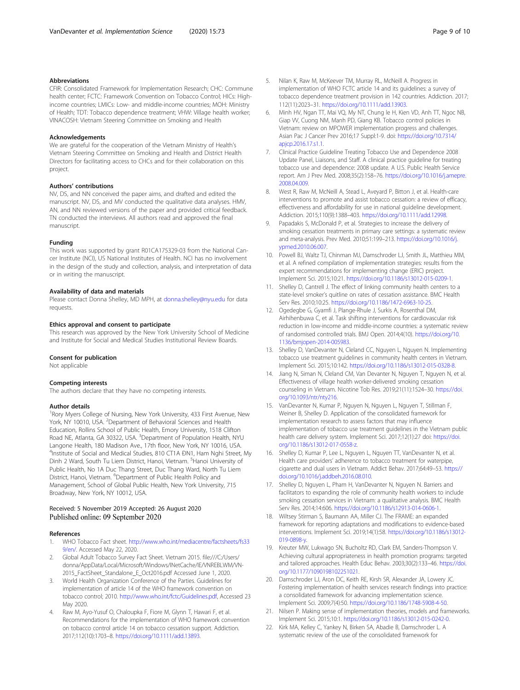#### <span id="page-8-0"></span>Abbreviations

CFIR: Consolidated Framework for Implementation Research; CHC: Commune health center; FCTC: Framework Convention on Tobacco Control; HICs: Highincome countries; LMICs: Low- and middle-income countries; MOH: Ministry of Health; TDT: Tobacco dependence treatment; VHW: Village health worker; VINACOSH: Vietnam Steering Committee on Smoking and Health

#### Acknowledgements

We are grateful for the cooperation of the Vietnam Ministry of Health's Vietnam Steering Committee on Smoking and Health and District Health Directors for facilitating access to CHCs and for their collaboration on this project.

# Authors' contributions

NV, DS, and NN conceived the paper aims, and drafted and edited the manuscript. NV, DS, and MV conducted the qualitative data analyses. HMV, AN, and NN reviewed versions of the paper and provided critical feedback. TN conducted the interviews. All authors read and approved the final manuscript.

#### Funding

This work was supported by grant R01CA175329-03 from the National Cancer Institute (NCI), US National Institutes of Health. NCI has no involvement in the design of the study and collection, analysis, and interpretation of data or in writing the manuscript.

#### Availability of data and materials

Please contact Donna Shelley, MD MPH, at [donna.shelley@nyu.edu](mailto:donna.shelley@nyu.edu) for data requests.

#### Ethics approval and consent to participate

This research was approved by the New York University School of Medicine and Institute for Social and Medical Studies Institutional Review Boards.

#### Consent for publication

Not applicable

#### Competing interests

The authors declare that they have no competing interests.

#### Author details

<sup>1</sup> Rory Myers College of Nursing, New York University, 433 First Avenue, New York, NY 10010, USA. <sup>2</sup>Department of Behavioral Sciences and Health Education, Rollins School of Public Health, Emory University, 1518 Clifton Road NE, Atlanta, GA 30322, USA. <sup>3</sup> Department of Population Health, NYU Langone Health, 180 Madison Ave., 17th floor, New York, NY 10016, USA. <sup>4</sup>Institute of Social and Medical Studies, 810 CT1A ĐN1, Ham Nghi Street, My Dinh 2 Ward, South Tu Liem District, Hanoi, Vietnam. <sup>5</sup>Hanoi University of Public Health, No 1A Duc Thang Street, Duc Thang Ward, North Tu Liem District, Hanoi, Vietnam. <sup>6</sup>Department of Public Health Policy and Management, School of Global Public Health, New York University, 715 Broadway, New York, NY 10012, USA.

#### Received: 5 November 2019 Accepted: 26 August 2020 Published online: 09 September 2020

#### References

- 1. WHO Tobacco Fact sheet. [http://www.who.int/mediacentre/factsheets/fs33](http://www.who.int/mediacentre/factsheets/fs339/en/) [9/en/](http://www.who.int/mediacentre/factsheets/fs339/en/). Accessed May 22, 2020.
- 2. Global Adult Tobacco Survey Fact Sheet. Vietnam 2015. file:///C:/Users/ donna/AppData/Local/Microsoft/Windows/INetCache/IE/VNREBLWM/VN-2015\_FactSheet\_Standalone\_E\_Oct2016.pdf Accessed June 1, 2020.
- 3. World Health Organization Conference of the Parties. Guidelines for implementation of article 14 of the WHO framework convention on tobacco control; 2010. [http://www.who.int/fctc/Guidelines.pdf,](http://www.who.int/fctc/Guidelines.pdf) Accessed 23 May 2020.
- Raw M, Ayo-Yusuf O, Chaloupka F, Fiore M, Glynn T, Hawari F, et al. Recommendations for the implementation of WHO framework convention on tobacco control article 14 on tobacco cessation support. Addiction. 2017;112(10):1703–8. [https://doi.org/10.1111/add.13893.](https://doi.org/10.1111/add.13893)
- 5. Nilan K, Raw M, McKeever TM, Murray RL, McNeill A. Progress in implementation of WHO FCTC article 14 and its guidelines: a survey of tobacco dependence treatment provision in 142 countries. Addiction. 2017; 112(11):2023–31. <https://doi.org/10.1111/add.13903>.
- 6. Minh HV, Ngan TT, Mai VQ, My NT, Chung le H, Kien VD, Anh TT, Ngoc NB, Giap VV, Cuong NM, Manh PD, Giang KB. Tobacco control policies in Vietnam: review on MPOWER implementation progress and challenges. Asian Pac J Cancer Prev 2016;17 Suppl:1-9. doi: [https://doi.org/10.7314/](https://doi.org/10.7314/apjcp.2016.17.s1.1) [apjcp.2016.17.s1.1.](https://doi.org/10.7314/apjcp.2016.17.s1.1)
- 7. Clinical Practice Guideline Treating Tobacco Use and Dependence 2008 Update Panel, Liaisons, and Staff. A clinical practice guideline for treating tobacco use and dependence: 2008 update. A U.S. Public Health Service report. Am J Prev Med. 2008;35(2):158–76. [https://doi.org/10.1016/j.amepre.](https://doi.org/10.1016/j.amepre.2008.04.009) [2008.04.009.](https://doi.org/10.1016/j.amepre.2008.04.009)
- 8. West R, Raw M, McNeill A, Stead L, Aveyard P, Bitton J, et al. Health-care interventions to promote and assist tobacco cessation: a review of efficacy, effectiveness and affordability for use in national guideline development. Addiction. 2015;110(9):1388–403. <https://doi.org/10.1111/add.12998>.
- 9. Papadakis S, McDonald P, et al. Strategies to increase the delivery of smoking cessation treatments in primary care settings: a systematic review and meta-analysis. Prev Med. 2010;51:199–213. [https://doi.org/10.1016/j.](https://doi.org/10.1016/j.ypmed.2010.06.007) [ypmed.2010.06.007](https://doi.org/10.1016/j.ypmed.2010.06.007).
- 10. Powell BJ, Waltz TJ, Chinman MJ, Damschroder LJ, Smith JL, Matthieu MM, et al. A refined compilation of implementation strategies: results from the expert recommendations for implementing change (ERIC) project. Implement Sci. 2015;10:21. [https://doi.org/10.1186/s13012-015-0209-1.](https://doi.org/10.1186/s13012-015-0209-1)
- 11. Shelley D, Cantrell J. The effect of linking community health centers to a state-level smoker's quitline on rates of cessation assistance. BMC Health Serv Res. 2010;10:25. <https://doi.org/10.1186/1472-6963-10-25>.
- 12. Ogedegbe G, Gyamfi J, Plange-Rhule J, Surkis A, Rosenthal DM, Airhihenbuwa C, et al. Task shifting interventions for cardiovascular risk reduction in low-income and middle-income countries: a systematic review of randomised controlled trials. BMJ Open. 2014;4(10). [https://doi.org/10.](https://doi.org/10.1136/bmjopen-2014-005983) [1136/bmjopen-2014-005983](https://doi.org/10.1136/bmjopen-2014-005983).
- 13. Shelley D, VanDevanter N, Cleland CC, Nguyen L, Nguyen N. Implementing tobacco use treatment guidelines in community health centers in Vietnam. Implement Sci. 2015;10:142. <https://doi.org/10.1186/s13012-015-0328-8>.
- 14. Jiang N, Siman N, Cleland CM, Van Devanter N, Nguyen T, Nguyen N, et al. Effectiveness of village health worker-delivered smoking cessation counseling in Vietnam. Nicotine Tob Res. 2019;21(11):1524–30. [https://doi.](https://doi.org/10.1093/ntr/nty216) [org/10.1093/ntr/nty216.](https://doi.org/10.1093/ntr/nty216)
- 15. VanDevanter N, Kumar P, Nguyen N, Nguyen L, Nguyen T, Stillman F, Weiner B, Shelley D. Application of the consolidated framework for implementation research to assess factors that may influence implementation of tobacco use treatment guidelines in the Vietnam public health care delivery system. Implement Sci. 2017;12(1):27 doi: [https://doi.](https://doi.org/10.1186/s13012-017-0558-z) [org/10.1186/s13012-017-0558-z.](https://doi.org/10.1186/s13012-017-0558-z)
- 16. Shelley D, Kumar P, Lee L, Nguyen L, Nguyen TT, VanDevanter N, et al. Health care providers' adherence to tobacco treatment for waterpipe, cigarette and dual users in Vietnam. Addict Behav. 2017;64:49–53. [https://](https://doi.org/10.1016/j.addbeh.2016.08.010) [doi.org/10.1016/j.addbeh.2016.08.010](https://doi.org/10.1016/j.addbeh.2016.08.010).
- 17. Shelley D, Nguyen L, Pham H, VanDevanter N, Nguyen N. Barriers and facilitators to expanding the role of community health workers to include smoking cessation services in Vietnam: a qualitative analysis. BMC Health Serv Res. 2014;14:606. [https://doi.org/10.1186/s12913-014-0606-1.](https://doi.org/10.1186/s12913-014-0606-1)
- 18. Wiltsey Stirman S, Baumann AA, Miller CJ. The FRAME: an expanded framework for reporting adaptations and modifications to evidence-based interventions. Implement Sci. 2019;14(1):58. [https://doi.org/10.1186/s13012-](https://doi.org/10.1186/s13012-019-0898-y) 019-0898-y
- 19. Kreuter MW, Lukwago SN, Bucholtz RD, Clark EM, Sanders-Thompson V. Achieving cultural appropriateness in health promotion programs: targeted and tailored approaches. Health Educ Behav. 2003;30(2):133–46. [https://doi.](https://doi.org/10.1177/1090198102251021) [org/10.1177/1090198102251021.](https://doi.org/10.1177/1090198102251021)
- 20. Damschroder LJ, Aron DC, Keith RE, Kirsh SR, Alexander JA, Lowery JC. Fostering implementation of health services research findings into practice: a consolidated framework for advancing implementation science. Implement Sci. 2009;7(4):50. [https://doi.org/10.1186/1748-5908-4-50.](https://doi.org/10.1186/1748-5908-4-50)
- 21. Nilsen P. Making sense of implementation theories, models and frameworks. Implement Sci. 2015;10:1. <https://doi.org/10.1186/s13012-015-0242-0>.
- 22. Kirk MA, Kelley C, Yankey N, Birken SA, Abadie B, Damschroder L. A systematic review of the use of the consolidated framework for